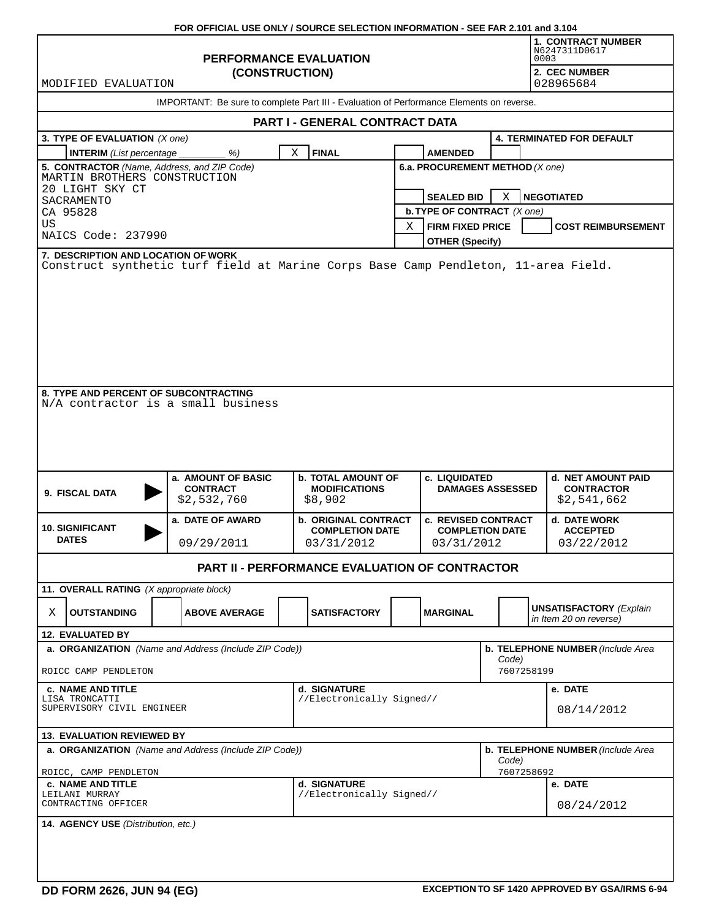|                                                                                               | FOR OFFICIAL USE ONLY / SOURCE SELECTION INFORMATION - SEE FAR 2.101 and 3.104 |                                                              |                                                          |                                          |                   |                                                          |  |  |  |  |  |
|-----------------------------------------------------------------------------------------------|--------------------------------------------------------------------------------|--------------------------------------------------------------|----------------------------------------------------------|------------------------------------------|-------------------|----------------------------------------------------------|--|--|--|--|--|
|                                                                                               |                                                                                | <b>1. CONTRACT NUMBER</b><br>N6247311D0617<br>0003           |                                                          |                                          |                   |                                                          |  |  |  |  |  |
| MODIFIED EVALUATION                                                                           | (CONSTRUCTION)                                                                 |                                                              |                                                          | 2. CEC NUMBER<br>028965684               |                   |                                                          |  |  |  |  |  |
| IMPORTANT: Be sure to complete Part III - Evaluation of Performance Elements on reverse.      |                                                                                |                                                              |                                                          |                                          |                   |                                                          |  |  |  |  |  |
| PART I - GENERAL CONTRACT DATA                                                                |                                                                                |                                                              |                                                          |                                          |                   |                                                          |  |  |  |  |  |
| 3. TYPE OF EVALUATION (X one)                                                                 |                                                                                |                                                              |                                                          |                                          |                   | <b>4. TERMINATED FOR DEFAULT</b>                         |  |  |  |  |  |
| <b>INTERIM</b> (List percentage                                                               | %)                                                                             | Χ<br><b>FINAL</b>                                            |                                                          | <b>AMENDED</b>                           |                   |                                                          |  |  |  |  |  |
| 5. CONTRACTOR (Name, Address, and ZIP Code)<br>MARTIN BROTHERS CONSTRUCTION                   |                                                                                |                                                              | 6.a. PROCUREMENT METHOD (X one)                          |                                          |                   |                                                          |  |  |  |  |  |
| 20 LIGHT SKY CT<br>SACRAMENTO                                                                 |                                                                                |                                                              | <b>SEALED BID</b>                                        | X                                        | <b>NEGOTIATED</b> |                                                          |  |  |  |  |  |
| CA 95828                                                                                      |                                                                                |                                                              | <b>b. TYPE OF CONTRACT</b> (X one)                       |                                          |                   |                                                          |  |  |  |  |  |
| US                                                                                            |                                                                                |                                                              | Χ                                                        | <b>FIRM FIXED PRICE</b>                  |                   | <b>COST REIMBURSEMENT</b>                                |  |  |  |  |  |
| NAICS Code: 237990<br>7. DESCRIPTION AND LOCATION OF WORK                                     |                                                                                |                                                              |                                                          | <b>OTHER (Specify)</b>                   |                   |                                                          |  |  |  |  |  |
| Construct synthetic turf field at Marine Corps Base Camp Pendleton, 11-area Field.            |                                                                                |                                                              |                                                          |                                          |                   |                                                          |  |  |  |  |  |
| 8. TYPE AND PERCENT OF SUBCONTRACTING<br>N/A contractor is a small business<br>9. FISCAL DATA | a. AMOUNT OF BASIC<br><b>CONTRACT</b><br>\$2,532,760                           | <b>b. TOTAL AMOUNT OF</b><br><b>MODIFICATIONS</b><br>\$8,902 |                                                          | c. LIQUIDATED<br><b>DAMAGES ASSESSED</b> |                   | d. NET AMOUNT PAID<br><b>CONTRACTOR</b><br>\$2,541,662   |  |  |  |  |  |
|                                                                                               | a. DATE OF AWARD                                                               | <b>b. ORIGINAL CONTRACT</b>                                  |                                                          | <b>c. REVISED CONTRACT</b>               |                   | d. DATE WORK                                             |  |  |  |  |  |
| <b>10. SIGNIFICANT</b><br><b>DATES</b><br>09/29/2011                                          |                                                                                | <b>COMPLETION DATE</b><br>03/31/2012                         |                                                          | <b>COMPLETION DATE</b><br>03/31/2012     |                   | <b>ACCEPTED</b><br>03/22/2012                            |  |  |  |  |  |
|                                                                                               |                                                                                | <b>PART II - PERFORMANCE EVALUATION OF CONTRACTOR</b>        |                                                          |                                          |                   |                                                          |  |  |  |  |  |
| 11. OVERALL RATING (X appropriate block)                                                      |                                                                                |                                                              |                                                          |                                          |                   |                                                          |  |  |  |  |  |
| <b>OUTSTANDING</b><br>Χ                                                                       | <b>ABOVE AVERAGE</b>                                                           | <b>SATISFACTORY</b>                                          |                                                          | <b>MARGINAL</b>                          |                   | <b>UNSATISFACTORY</b> (Explain<br>in Item 20 on reverse) |  |  |  |  |  |
| 12. EVALUATED BY                                                                              |                                                                                |                                                              |                                                          |                                          |                   |                                                          |  |  |  |  |  |
| a. ORGANIZATION (Name and Address (Include ZIP Code))<br>ROICC CAMP PENDLETON                 |                                                                                |                                                              | b. TELEPHONE NUMBER (Include Area<br>Code)<br>7607258199 |                                          |                   |                                                          |  |  |  |  |  |
| <b>c. NAME AND TITLE</b>                                                                      |                                                                                | d. SIGNATURE                                                 |                                                          |                                          |                   | e. DATE                                                  |  |  |  |  |  |
| LISA TRONCATTI<br>SUPERVISORY CIVIL ENGINEER                                                  |                                                                                | //Electronically Signed//                                    |                                                          |                                          | 08/14/2012        |                                                          |  |  |  |  |  |
| <b>13. EVALUATION REVIEWED BY</b>                                                             |                                                                                |                                                              |                                                          |                                          |                   |                                                          |  |  |  |  |  |
| a. ORGANIZATION (Name and Address (Include ZIP Code))                                         |                                                                                | b. TELEPHONE NUMBER (Include Area<br>Code)                   |                                                          |                                          |                   |                                                          |  |  |  |  |  |
| ROICC, CAMP PENDLETON<br><b>c. NAME AND TITLE</b>                                             |                                                                                |                                                              |                                                          | 7607258692                               | e. DATE           |                                                          |  |  |  |  |  |
| LEILANI MURRAY<br>CONTRACTING OFFICER                                                         |                                                                                | d. SIGNATURE<br>//Electronically Signed//                    |                                                          |                                          |                   | 08/24/2012                                               |  |  |  |  |  |
| 14. AGENCY USE (Distribution, etc.)                                                           |                                                                                |                                                              |                                                          |                                          |                   |                                                          |  |  |  |  |  |
|                                                                                               |                                                                                |                                                              |                                                          |                                          |                   |                                                          |  |  |  |  |  |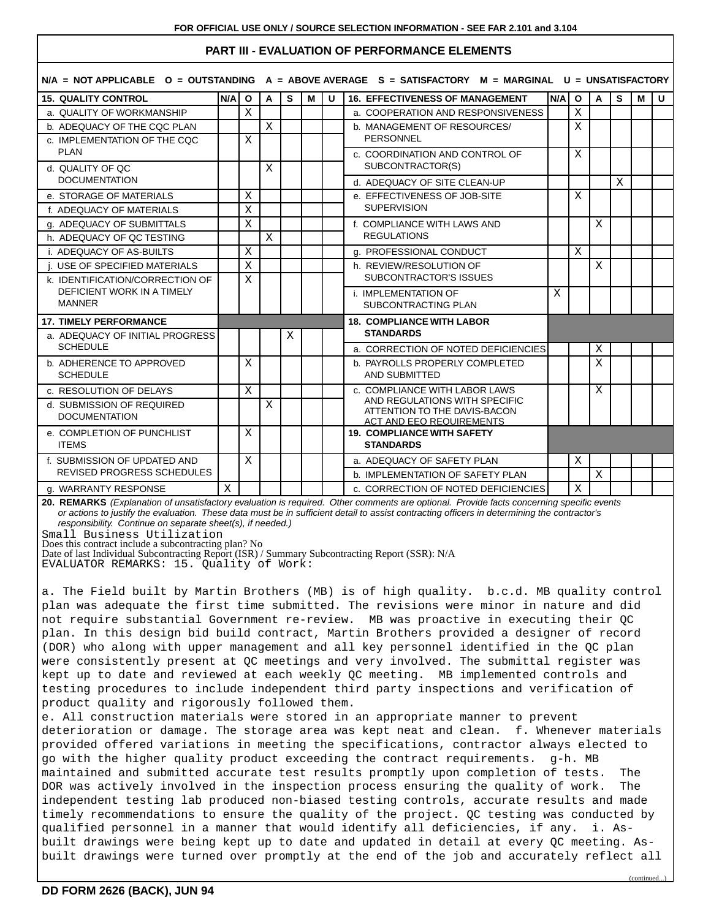# **PART III - EVALUATION OF PERFORMANCE ELEMENTS**

|                                                            |  |                                                    |              | $N/A$ = NOT APPLICABLE 0 = OUTSTANDING A = ABOVE AVERAGE S = SATISFACTORY M = MARGINAL U = UNSATISFACTORY |   |   |                                                                |     |              |   |   |   |              |
|------------------------------------------------------------|--|----------------------------------------------------|--------------|-----------------------------------------------------------------------------------------------------------|---|---|----------------------------------------------------------------|-----|--------------|---|---|---|--------------|
| <b>15. QUALITY CONTROL</b>                                 |  | N/A I<br>$\mathbf{o}$                              | A            | S                                                                                                         | M | U | <b>16. EFFECTIVENESS OF MANAGEMENT</b>                         | N/A | $\mathbf{o}$ | A | S | М | $\mathbf{U}$ |
| a. QUALITY OF WORKMANSHIP                                  |  | X                                                  |              |                                                                                                           |   |   | a. COOPERATION AND RESPONSIVENESS                              |     | X            |   |   |   |              |
| b. ADEQUACY OF THE CQC PLAN                                |  |                                                    | $\mathbf X$  |                                                                                                           |   |   | b. MANAGEMENT OF RESOURCES/                                    |     | X            |   |   |   |              |
| c. IMPLEMENTATION OF THE CQC                               |  | X                                                  |              |                                                                                                           |   |   | <b>PERSONNEL</b>                                               |     |              |   |   |   |              |
| <b>PLAN</b>                                                |  |                                                    |              |                                                                                                           |   |   | c. COORDINATION AND CONTROL OF                                 |     | X            |   |   |   |              |
| d. QUALITY OF QC<br><b>DOCUMENTATION</b>                   |  |                                                    | X            |                                                                                                           |   |   | SUBCONTRACTOR(S)                                               |     |              |   |   |   |              |
|                                                            |  |                                                    |              |                                                                                                           |   |   | d. ADEQUACY OF SITE CLEAN-UP                                   |     |              |   | X |   |              |
| e. STORAGE OF MATERIALS                                    |  | X                                                  |              |                                                                                                           |   |   | e. EFFECTIVENESS OF JOB-SITE                                   |     | X            |   |   |   |              |
| f. ADEQUACY OF MATERIALS                                   |  | X                                                  |              |                                                                                                           |   |   | <b>SUPERVISION</b>                                             |     |              |   |   |   |              |
| g. ADEQUACY OF SUBMITTALS                                  |  | $\mathbf X$                                        |              |                                                                                                           |   |   | f. COMPLIANCE WITH LAWS AND                                    |     |              | X |   |   |              |
| h. ADEQUACY OF QC TESTING                                  |  |                                                    | $\mathbf{X}$ |                                                                                                           |   |   | <b>REGULATIONS</b>                                             |     |              |   |   |   |              |
| <b>i. ADEQUACY OF AS-BUILTS</b>                            |  | X                                                  |              |                                                                                                           |   |   | g. PROFESSIONAL CONDUCT                                        |     | X            |   |   |   |              |
| USE OF SPECIFIED MATERIALS                                 |  | X                                                  |              |                                                                                                           |   |   | h. REVIEW/RESOLUTION OF<br>SUBCONTRACTOR'S ISSUES              |     |              | X |   |   |              |
| k. IDENTIFICATION/CORRECTION OF                            |  | X                                                  |              |                                                                                                           |   |   |                                                                |     |              |   |   |   |              |
| DEFICIENT WORK IN A TIMELY<br><b>MANNER</b>                |  | i. IMPLEMENTATION OF<br><b>SUBCONTRACTING PLAN</b> |              |                                                                                                           | X |   |                                                                |     |              |   |   |   |              |
|                                                            |  |                                                    |              |                                                                                                           |   |   |                                                                |     |              |   |   |   |              |
| <b>17. TIMELY PERFORMANCE</b>                              |  |                                                    |              |                                                                                                           |   |   | <b>18. COMPLIANCE WITH LABOR</b>                               |     |              |   |   |   |              |
| a. ADEQUACY OF INITIAL PROGRESS<br><b>SCHEDULE</b>         |  |                                                    |              | Χ                                                                                                         |   |   | <b>STANDARDS</b>                                               |     |              |   |   |   |              |
|                                                            |  |                                                    |              |                                                                                                           |   |   | a. CORRECTION OF NOTED DEFICIENCIES                            |     |              | Χ |   |   |              |
| b. ADHERENCE TO APPROVED<br><b>SCHEDULE</b>                |  | X                                                  |              |                                                                                                           |   |   | b. PAYROLLS PROPERLY COMPLETED                                 |     |              | X |   |   |              |
|                                                            |  |                                                    |              |                                                                                                           |   |   | <b>AND SUBMITTED</b>                                           |     |              |   |   |   |              |
| c. RESOLUTION OF DELAYS                                    |  | $\mathbf{X}$                                       |              |                                                                                                           |   |   | c. COMPLIANCE WITH LABOR LAWS<br>AND REGULATIONS WITH SPECIFIC |     |              | Χ |   |   |              |
| d. SUBMISSION OF REQUIRED                                  |  |                                                    | X            |                                                                                                           |   |   | ATTENTION TO THE DAVIS-BACON                                   |     |              |   |   |   |              |
| <b>DOCUMENTATION</b>                                       |  |                                                    |              |                                                                                                           |   |   | <b>ACT AND EEO REQUIREMENTS</b>                                |     |              |   |   |   |              |
| e. COMPLETION OF PUNCHLIST<br><b>ITEMS</b>                 |  | X                                                  |              |                                                                                                           |   |   | <b>19. COMPLIANCE WITH SAFETY</b><br><b>STANDARDS</b>          |     |              |   |   |   |              |
| f. SUBMISSION OF UPDATED AND<br>REVISED PROGRESS SCHEDULES |  | X                                                  |              |                                                                                                           |   |   | a. ADEQUACY OF SAFETY PLAN                                     |     | X            |   |   |   |              |
|                                                            |  |                                                    |              |                                                                                                           |   |   | b. IMPLEMENTATION OF SAFETY PLAN                               |     |              | X |   |   |              |
| g. WARRANTY RESPONSE                                       |  |                                                    |              |                                                                                                           |   |   | c. CORRECTION OF NOTED DEFICIENCIES                            |     | X            |   |   |   |              |

**20. REMARKS** (Explanation of unsatisfactory evaluation is required. Other comments are optional. Provide facts concerning specific events or actions to justify the evaluation. These data must be in sufficient detail to assist contracting officers in determining the contractor's responsibility. Continue on separate sheet(s), if needed.)

Small Business Utilization

Does this contract include a subcontracting plan? No Date of last Individual Subcontracting Report (ISR) / Summary Subcontracting Report (SSR): N/A

EVALUATOR REMARKS: 15. Quality of Work:

a. The Field built by Martin Brothers (MB) is of high quality. b.c.d. MB quality control plan was adequate the first time submitted. The revisions were minor in nature and did not require substantial Government re-review. MB was proactive in executing their QC plan. In this design bid build contract, Martin Brothers provided a designer of record (DOR) who along with upper management and all key personnel identified in the QC plan were consistently present at QC meetings and very involved. The submittal register was kept up to date and reviewed at each weekly QC meeting. MB implemented controls and testing procedures to include independent third party inspections and verification of product quality and rigorously followed them.

e. All construction materials were stored in an appropriate manner to prevent deterioration or damage. The storage area was kept neat and clean. f. Whenever materials provided offered variations in meeting the specifications, contractor always elected to go with the higher quality product exceeding the contract requirements. g-h. MB maintained and submitted accurate test results promptly upon completion of tests. The DOR was actively involved in the inspection process ensuring the quality of work. The independent testing lab produced non-biased testing controls, accurate results and made timely recommendations to ensure the quality of the project. QC testing was conducted by qualified personnel in a manner that would identify all deficiencies, if any. i. Asbuilt drawings were being kept up to date and updated in detail at every QC meeting. Asbuilt drawings were turned over promptly at the end of the job and accurately reflect all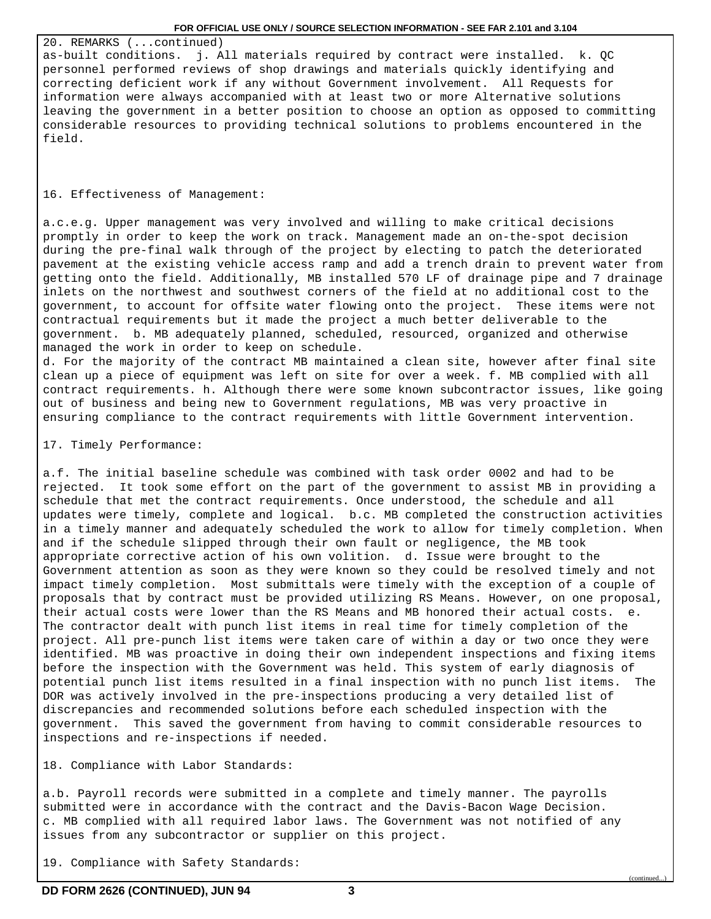20. REMARKS (...continued) as-built conditions. j. All materials required by contract were installed. k. QC personnel performed reviews of shop drawings and materials quickly identifying and correcting deficient work if any without Government involvement. All Requests for information were always accompanied with at least two or more Alternative solutions leaving the government in a better position to choose an option as opposed to committing considerable resources to providing technical solutions to problems encountered in the field.

## 16. Effectiveness of Management:

a.c.e.g. Upper management was very involved and willing to make critical decisions promptly in order to keep the work on track. Management made an on-the-spot decision during the pre-final walk through of the project by electing to patch the deteriorated pavement at the existing vehicle access ramp and add a trench drain to prevent water from getting onto the field. Additionally, MB installed 570 LF of drainage pipe and 7 drainage inlets on the northwest and southwest corners of the field at no additional cost to the government, to account for offsite water flowing onto the project. These items were not contractual requirements but it made the project a much better deliverable to the government. b. MB adequately planned, scheduled, resourced, organized and otherwise managed the work in order to keep on schedule.

d. For the majority of the contract MB maintained a clean site, however after final site clean up a piece of equipment was left on site for over a week. f. MB complied with all contract requirements. h. Although there were some known subcontractor issues, like going out of business and being new to Government regulations, MB was very proactive in ensuring compliance to the contract requirements with little Government intervention.

# 17. Timely Performance:

a.f. The initial baseline schedule was combined with task order 0002 and had to be rejected. It took some effort on the part of the government to assist MB in providing a schedule that met the contract requirements. Once understood, the schedule and all updates were timely, complete and logical. b.c. MB completed the construction activities in a timely manner and adequately scheduled the work to allow for timely completion. When and if the schedule slipped through their own fault or negligence, the MB took appropriate corrective action of his own volition. d. Issue were brought to the Government attention as soon as they were known so they could be resolved timely and not impact timely completion. Most submittals were timely with the exception of a couple of proposals that by contract must be provided utilizing RS Means. However, on one proposal, their actual costs were lower than the RS Means and MB honored their actual costs. e. The contractor dealt with punch list items in real time for timely completion of the project. All pre-punch list items were taken care of within a day or two once they were identified. MB was proactive in doing their own independent inspections and fixing items before the inspection with the Government was held. This system of early diagnosis of potential punch list items resulted in a final inspection with no punch list items. The DOR was actively involved in the pre-inspections producing a very detailed list of discrepancies and recommended solutions before each scheduled inspection with the government. This saved the government from having to commit considerable resources to inspections and re-inspections if needed.

18. Compliance with Labor Standards:

a.b. Payroll records were submitted in a complete and timely manner. The payrolls submitted were in accordance with the contract and the Davis-Bacon Wage Decision. c. MB complied with all required labor laws. The Government was not notified of any issues from any subcontractor or supplier on this project.

19. Compliance with Safety Standards:

(continued...)